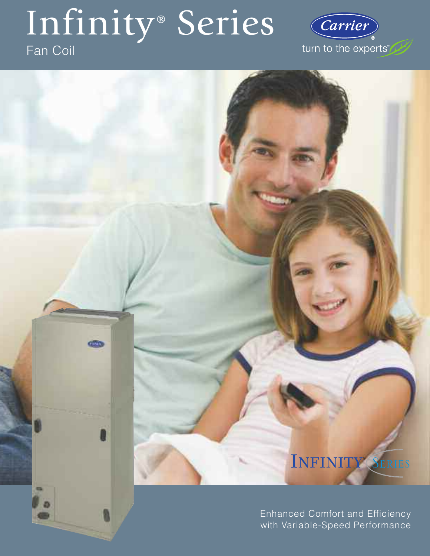# Infinity<sup>®</sup> Series

# Fan Coil



# INFINITY<sup>®</sup> SERIES

Enhanced Comfort and Efficiency with Variable-Speed Performance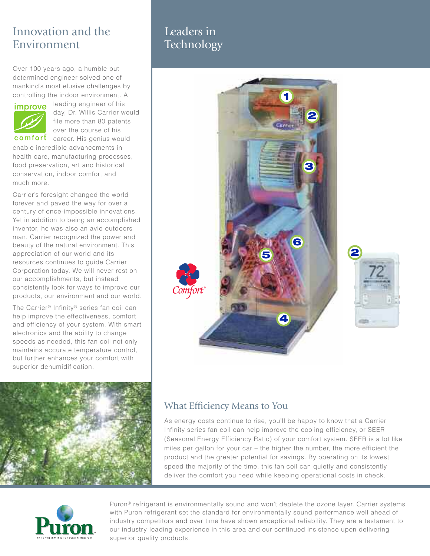# Innovation and the Environment

Over 100 years ago, a humble but determined engineer solved one of mankind's most elusive challenges by controlling the indoor environment. A



leading engineer of his day, Dr. Willis Carrier would file more than 80 patents over the course of his

comfort career. His genius would enable incredible advancements in health care, manufacturing processes, food preservation, art and historical conservation, indoor comfort and much more.

Carrier's foresight changed the world forever and paved the way for over a century of once-impossible innovations. Yet in addition to being an accomplished inventor, he was also an avid outdoorsman. Carrier recognized the power and beauty of the natural environment. This appreciation of our world and its resources continues to guide Carrier Corporation today. We will never rest on our accomplishments, but instead consistently look for ways to improve our products, our environment and our world.

The Carrier® Infinity® series fan coil can help improve the effectiveness, comfort and efficiency of your system. With smart electronics and the ability to change speeds as needed, this fan coil not only maintains accurate temperature control, but further enhances your comfort with superior dehumidification.



# Leaders in Technology



# What Efficiency Means to You

As energy costs continue to rise, you'll be happy to know that a Carrier Infinity series fan coil can help improve the cooling efficiency, or SEER (Seasonal Energy Efficiency Ratio) of your comfort system. SEER is a lot like miles per gallon for your car – the higher the number, the more efficient the product and the greater potential for savings. By operating on its lowest speed the majority of the time, this fan coil can quietly and consistently deliver the comfort you need while keeping operational costs in check.



Puron® refrigerant is environmentally sound and won't deplete the ozone layer. Carrier systems with Puron refrigerant set the standard for environmentally sound performance well ahead of industry competitors and over time have shown exceptional reliability. They are a testament to our industry-leading experience in this area and our continued insistence upon delivering superior quality products.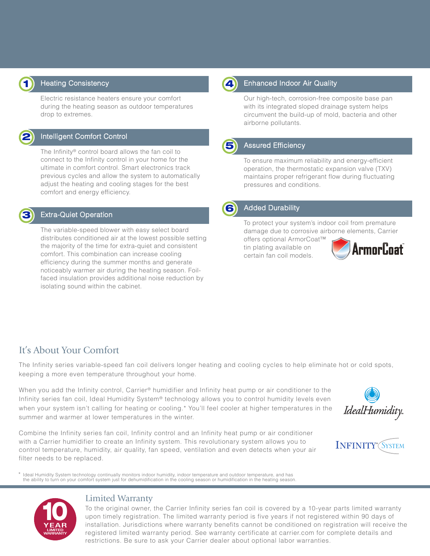

#### Heating Consistency

Electric resistance heaters ensure your comfort during the heating season as outdoor temperatures drop to extremes.



#### Intelligent Comfort Control

The Infinity® control board allows the fan coil to connect to the Infinity control in your home for the ultimate in comfort control. Smart electronics track previous cycles and allow the system to automatically adjust the heating and cooling stages for the best comfort and energy efficiency.

## **3**

#### Extra-Quiet Operation

The variable-speed blower with easy select board distributes conditioned air at the lowest possible setting the majority of the time for extra-quiet and consistent comfort. This combination can increase cooling efficiency during the summer months and generate noticeably warmer air during the heating season. Foilfaced insulation provides additional noise reduction by isolating sound within the cabinet.



#### **4** Enhanced Indoor Air Quality

Our high-tech, corrosion-free composite base pan with its integrated sloped drainage system helps circumvent the build-up of mold, bacteria and other airborne pollutants.



#### **5** Assured Efficiency

To ensure maximum reliability and energy-efficient operation, the thermostatic expansion valve (TXV) maintains proper refrigerant flow during fluctuating pressures and conditions.



#### **6** Added Durability

To protect your system's indoor coil from premature damage due to corrosive airborne elements, Carrier

offers optional ArmorCoat™ tin plating available on certain fan coil models.



## It's About Your Comfort

The Infinity series variable-speed fan coil delivers longer heating and cooling cycles to help eliminate hot or cold spots, keeping a more even temperature throughout your home.

When you add the Infinity control, Carrier® humidifier and Infinity heat pump or air conditioner to the Infinity series fan coil, Ideal Humidity System® technology allows you to control humidity levels even when your system isn't calling for heating or cooling.\* You'll feel cooler at higher temperatures in the summer and warmer at lower temperatures in the winter.

Combine the Infinity series fan coil, Infinity control and an Infinity heat pump or air conditioner with a Carrier humidifier to create an Infinity system. This revolutionary system allows you to control temperature, humidity, air quality, fan speed, ventilation and even detects when your air filter needs to be replaced.

Ideal Humidity System technology continually monitors indoor humidity, indoor temperature and outdoor temperature, and has the ability to turn on your comfort system just for dehumidification in the cooling season or humidification in the heating season.







#### Limited Warranty

To the original owner, the Carrier Infinity series fan coil is covered by a 10-year parts limited warranty upon timely registration. The limited warranty period is five years if not registered within 90 days of installation. Jurisdictions where warranty benefits cannot be conditioned on registration will receive the registered limited warranty period. See warranty certificate at carrier.com for complete details and restrictions. Be sure to ask your Carrier dealer about optional labor warranties.